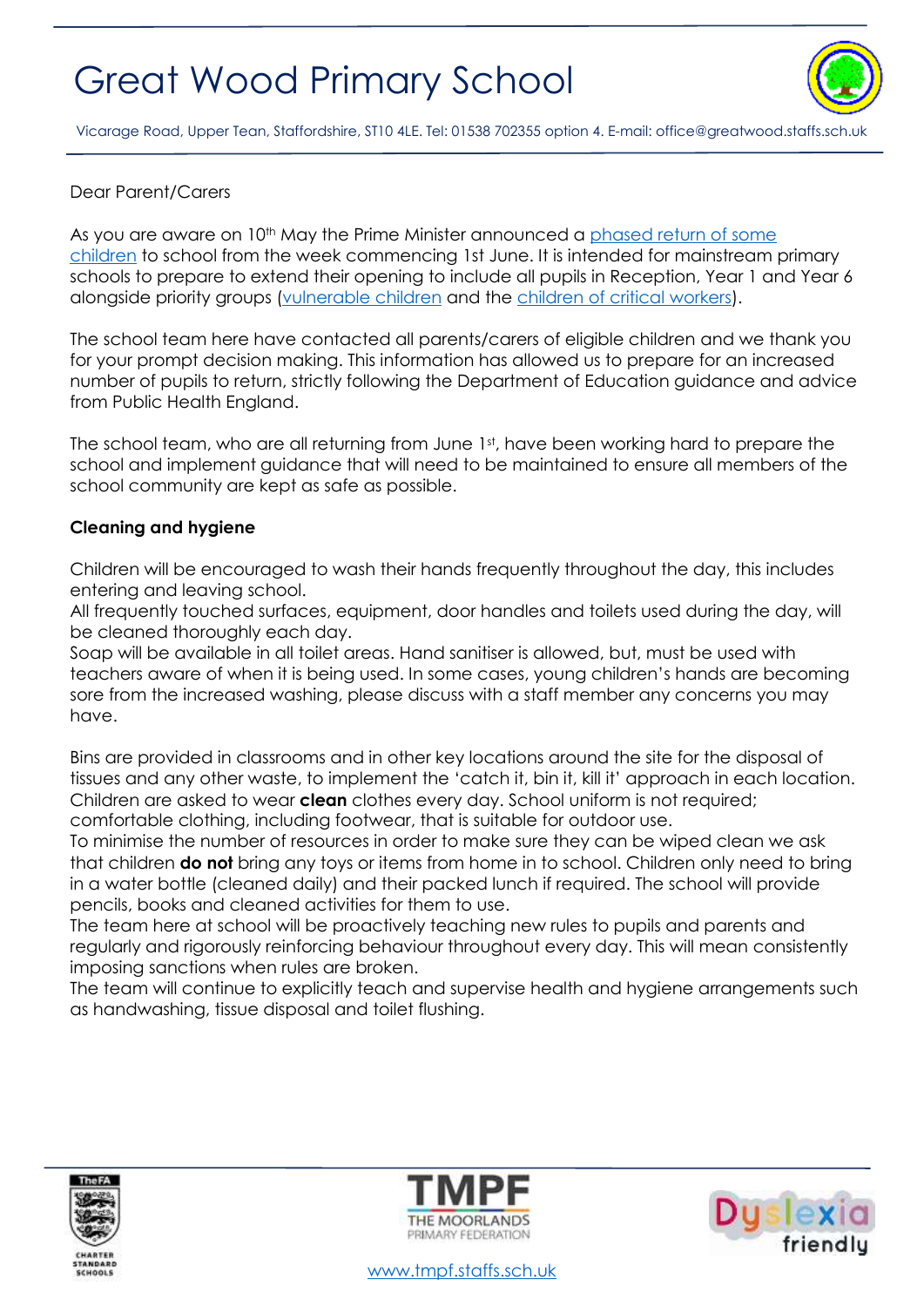

Vicarage Road, Upper Tean, Staffordshire, ST10 4LE. Tel: 01538 702355 option 4. E-mail[: office@greatwood.staffs.sch.uk](mailto:office@greatwood.staffs.sch.uk)

## Dear Parent/Carers

As you are aware on 10<sup>th</sup> May the Prime Minister announced a phased return of some [children](https://www.gov.uk/government/publications/actions-for-educational-and-childcare-settings-to-prepare-for-wider-opening-from-1-june-2020) to school from the week commencing 1st June. It is intended for mainstream primary schools to prepare to extend their opening to include all pupils in Reception, Year 1 and Year 6 alongside priority groups [\(vulnerable children](https://www.gov.uk/government/publications/coronavirus-covid-19-guidance-on-vulnerable-children-and-young-people) and the [children of critical workers\)](https://www.gov.uk/government/publications/coronavirus-covid-19-maintaining-educational-provision).

The school team here have contacted all parents/carers of eligible children and we thank you for your prompt decision making. This information has allowed us to prepare for an increased number of pupils to return, strictly following the Department of Education guidance and advice from Public Health England.

The school team, who are all returning from June 1st, have been working hard to prepare the school and implement guidance that will need to be maintained to ensure all members of the school community are kept as safe as possible.

### **Cleaning and hygiene**

Children will be encouraged to wash their hands frequently throughout the day, this includes entering and leaving school.

All frequently touched surfaces, equipment, door handles and toilets used during the day, will be cleaned thoroughly each day.

Soap will be available in all toilet areas. Hand sanitiser is allowed, but, must be used with teachers aware of when it is being used. In some cases, young children's hands are becoming sore from the increased washing, please discuss with a staff member any concerns you may have.

Bins are provided in classrooms and in other key locations around the site for the disposal of tissues and any other waste, to implement the 'catch it, bin it, kill it' approach in each location. Children are asked to wear **clean** clothes every day. School uniform is not required; comfortable clothing, including footwear, that is suitable for outdoor use.

To minimise the number of resources in order to make sure they can be wiped clean we ask that children **do not** bring any toys or items from home in to school. Children only need to bring in a water bottle (cleaned daily) and their packed lunch if required. The school will provide pencils, books and cleaned activities for them to use.

The team here at school will be proactively teaching new rules to pupils and parents and regularly and rigorously reinforcing behaviour throughout every day. This will mean consistently imposing sanctions when rules are broken.

The team will continue to explicitly teach and supervise health and hygiene arrangements such as handwashing, tissue disposal and toilet flushing.





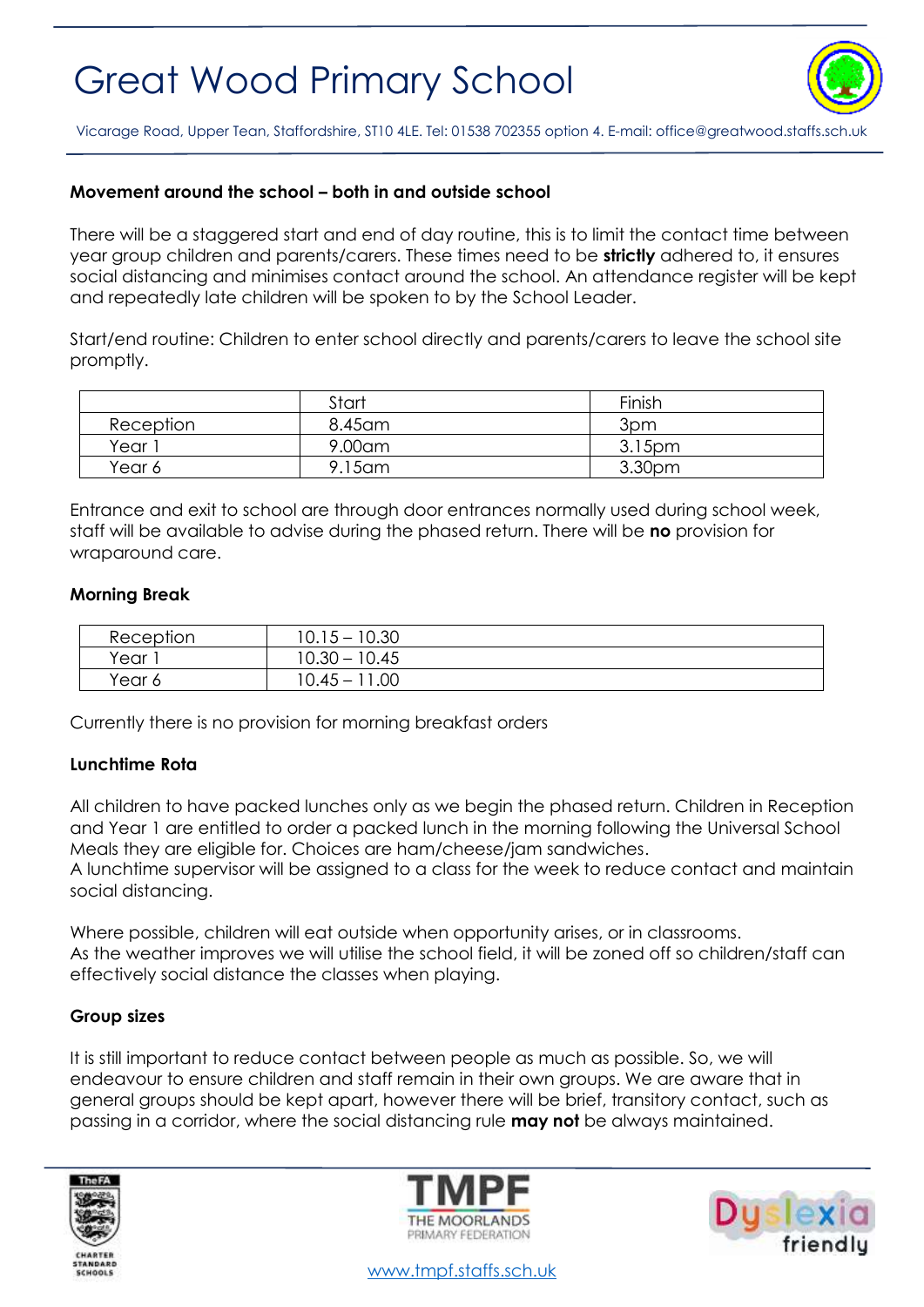

Vicarage Road, Upper Tean, Staffordshire, ST10 4LE. Tel: 01538 702355 option 4. E-mail[: office@greatwood.staffs.sch.uk](mailto:office@greatwood.staffs.sch.uk)

## **Movement around the school – both in and outside school**

There will be a staggered start and end of day routine, this is to limit the contact time between year group children and parents/carers. These times need to be **strictly** adhered to, it ensures social distancing and minimises contact around the school. An attendance register will be kept and repeatedly late children will be spoken to by the School Leader.

Start/end routine: Children to enter school directly and parents/carers to leave the school site promptly.

|           | Start   | Finish |
|-----------|---------|--------|
| Reception | 8.45 am | 3pm    |
| Year 1    | 9.00am  | 3.15pm |
| Year 6    | 9.15am  | 3.30pm |

Entrance and exit to school are through door entrances normally used during school week, staff will be available to advise during the phased return. There will be **no** provision for wraparound care.

## **Morning Break**

| Reception          | $10.15 - 10.30$ |
|--------------------|-----------------|
| Year               | $10.30 - 10.45$ |
| <sup>v</sup> ear 6 | 10.45 – 11.00   |

Currently there is no provision for morning breakfast orders

## **Lunchtime Rota**

All children to have packed lunches only as we begin the phased return. Children in Reception and Year 1 are entitled to order a packed lunch in the morning following the Universal School Meals they are eligible for. Choices are ham/cheese/jam sandwiches.

A lunchtime supervisor will be assigned to a class for the week to reduce contact and maintain social distancing.

Where possible, children will eat outside when opportunity arises, or in classrooms. As the weather improves we will utilise the school field, it will be zoned off so children/staff can effectively social distance the classes when playing.

#### **Group sizes**

It is still important to reduce contact between people as much as possible. So, we will endeavour to ensure children and staff remain in their own groups. We are aware that in general groups should be kept apart, however there will be brief, transitory contact, such as passing in a corridor, where the social distancing rule **may not** be always maintained.







[www.tmpf.staffs.sch.uk](http://www.tmpf.staffs.sch.uk/)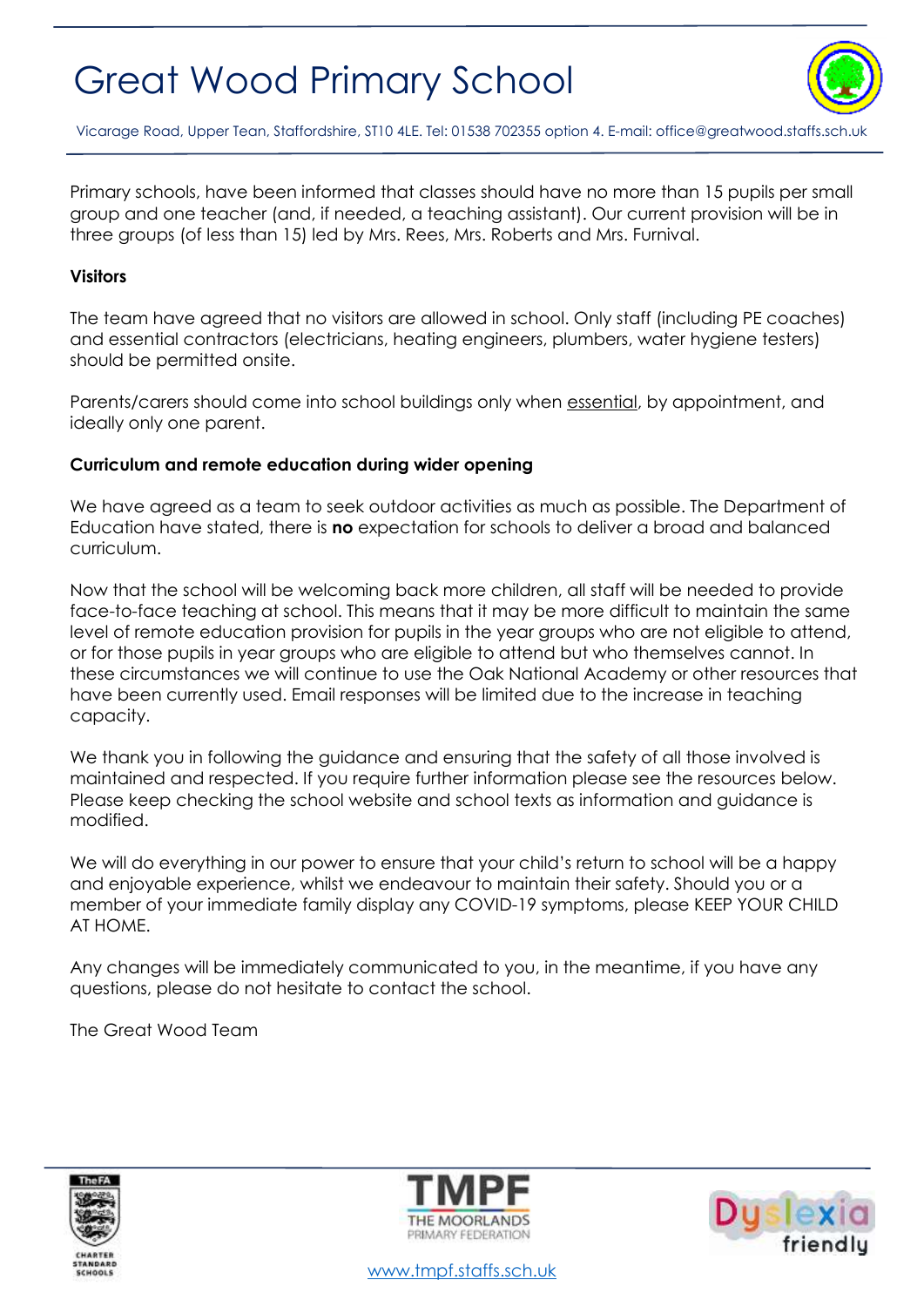

Vicarage Road, Upper Tean, Staffordshire, ST10 4LE. Tel: 01538 702355 option 4. E-mail[: office@greatwood.staffs.sch.uk](mailto:office@greatwood.staffs.sch.uk)

Primary schools, have been informed that classes should have no more than 15 pupils per small group and one teacher (and, if needed, a teaching assistant). Our current provision will be in three groups (of less than 15) led by Mrs. Rees, Mrs. Roberts and Mrs. Furnival.

#### **Visitors**

The team have agreed that no visitors are allowed in school. Only staff (including PE coaches) and essential contractors (electricians, heating engineers, plumbers, water hygiene testers) should be permitted onsite.

Parents/carers should come into school buildings only when essential, by appointment, and ideally only one parent.

### **Curriculum and remote education during wider opening**

We have agreed as a team to seek outdoor activities as much as possible. The Department of Education have stated, there is **no** expectation for schools to deliver a broad and balanced curriculum.

Now that the school will be welcoming back more children, all staff will be needed to provide face-to-face teaching at school. This means that it may be more difficult to maintain the same level of remote education provision for pupils in the year groups who are not eligible to attend, or for those pupils in year groups who are eligible to attend but who themselves cannot. In these circumstances we will continue to use the Oak National Academy or other resources that have been currently used. Email responses will be limited due to the increase in teaching capacity.

We thank you in following the guidance and ensuring that the safety of all those involved is maintained and respected. If you require further information please see the resources below. Please keep checking the school website and school texts as information and guidance is modified.

We will do everything in our power to ensure that your child's return to school will be a happy and enjoyable experience, whilst we endeavour to maintain their safety. Should you or a member of your immediate family display any COVID-19 symptoms, please KEEP YOUR CHILD AT HOME.

Any changes will be immediately communicated to you, in the meantime, if you have any questions, please do not hesitate to contact the school.

The Great Wood Team







[www.tmpf.staffs.sch.uk](http://www.tmpf.staffs.sch.uk/)